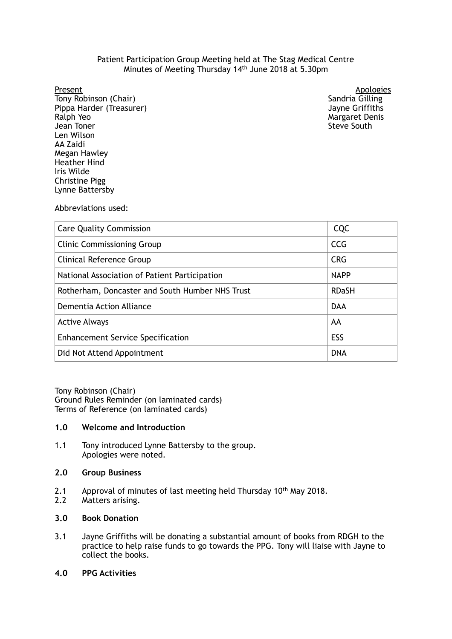## Patient Participation Group Meeting held at The Stag Medical Centre Minutes of Meeting Thursday 14th June 2018 at 5.30pm

Present

Tony Robinson (Chair) Sandria Gilling Sandria Gilling Sandria Gilling Sandria Gilling Pippa Harder (Treasurer) Jayne Griffiths Ralph Yeo Jean Toner Megan Hawley Lynne Battersby Len Wilson AA Zaidi Heather Hind Iris Wilde Christine Pigg

Apologies<br>Sandria Gilling Margaret Denis Steve South

Abbreviations used:

| <b>Care Quality Commission</b>                  | <b>CQC</b>   |
|-------------------------------------------------|--------------|
| <b>Clinic Commissioning Group</b>               | <b>CCG</b>   |
| Clinical Reference Group                        | <b>CRG</b>   |
| National Association of Patient Participation   | <b>NAPP</b>  |
| Rotherham, Doncaster and South Humber NHS Trust | <b>RDaSH</b> |
| Dementia Action Alliance                        | <b>DAA</b>   |
| <b>Active Always</b>                            | AA           |
| <b>Enhancement Service Specification</b>        | ESS          |
| Did Not Attend Appointment                      | <b>DNA</b>   |

 Tony Robinson (Chair) Terms of Reference (on laminated cards) Ground Rules Reminder (on laminated cards)

# **1.0 Welcome and Introduction**

 $1.1$  Apologies were noted. Tony introduced Lynne Battersby to the group.

# **2.0 Group Business**

- 2.1 Approval of minutes of last meeting held Thursday 10<sup>th</sup> May 2018.
- $2.2$ Matters arising.

# **3.0 Book Donation**

- $3.1$  practice to help raise funds to go towards the PPG. Tony will liaise with Jayne to Jayne Griffiths will be donating a substantial amount of books from RDGH to the collect the books.
- **4.0 PPG Activities**